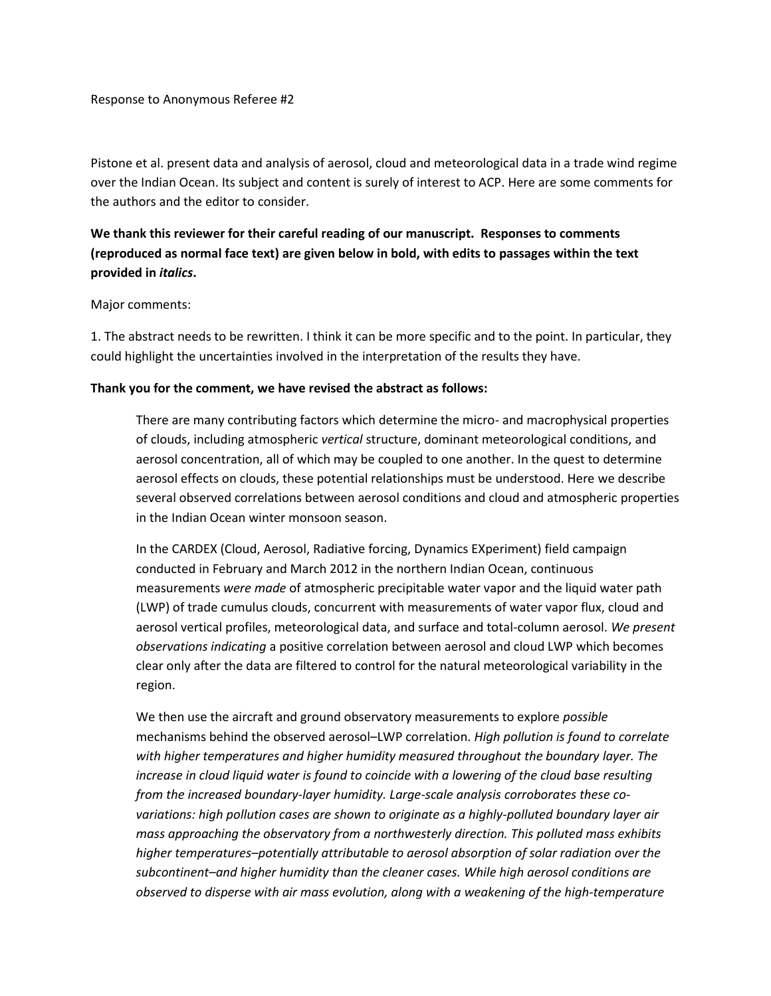Response to Anonymous Referee #2

Pistone et al. present data and analysis of aerosol, cloud and meteorological data in a trade wind regime over the Indian Ocean. Its subject and content is surely of interest to ACP. Here are some comments for the authors and the editor to consider.

# **We thank this reviewer for their careful reading of our manuscript. Responses to comments (reproduced as normal face text) are given below in bold, with edits to passages within the text provided in** *italics***.**

#### Major comments:

1. The abstract needs to be rewritten. I think it can be more specific and to the point. In particular, they could highlight the uncertainties involved in the interpretation of the results they have.

#### **Thank you for the comment, we have revised the abstract as follows:**

There are many contributing factors which determine the micro- and macrophysical properties of clouds, including atmospheric *vertical* structure, dominant meteorological conditions, and aerosol concentration, all of which may be coupled to one another. In the quest to determine aerosol effects on clouds, these potential relationships must be understood. Here we describe several observed correlations between aerosol conditions and cloud and atmospheric properties in the Indian Ocean winter monsoon season.

In the CARDEX (Cloud, Aerosol, Radiative forcing, Dynamics EXperiment) field campaign conducted in February and March 2012 in the northern Indian Ocean, continuous measurements *were made* of atmospheric precipitable water vapor and the liquid water path (LWP) of trade cumulus clouds, concurrent with measurements of water vapor flux, cloud and aerosol vertical profiles, meteorological data, and surface and total-column aerosol. *We present observations indicating* a positive correlation between aerosol and cloud LWP which becomes clear only after the data are filtered to control for the natural meteorological variability in the region.

We then use the aircraft and ground observatory measurements to explore *possible* mechanisms behind the observed aerosol–LWP correlation. *High pollution is found to correlate with higher temperatures and higher humidity measured throughout the boundary layer. The increase in cloud liquid water is found to coincide with a lowering of the cloud base resulting from the increased boundary-layer humidity. Large-scale analysis corroborates these covariations: high pollution cases are shown to originate as a highly-polluted boundary layer air mass approaching the observatory from a northwesterly direction. This polluted mass exhibits higher temperatures–potentially attributable to aerosol absorption of solar radiation over the subcontinent–and higher humidity than the cleaner cases. While high aerosol conditions are observed to disperse with air mass evolution, along with a weakening of the high-temperature*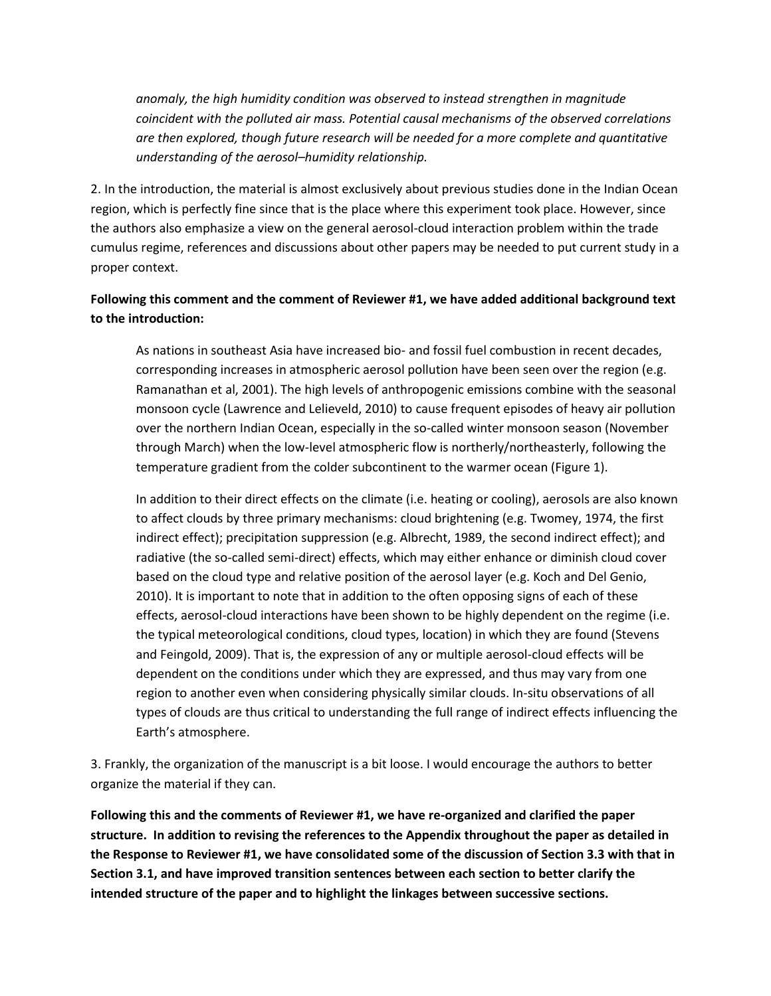*anomaly, the high humidity condition was observed to instead strengthen in magnitude coincident with the polluted air mass. Potential causal mechanisms of the observed correlations are then explored, though future research will be needed for a more complete and quantitative understanding of the aerosol–humidity relationship.*

2. In the introduction, the material is almost exclusively about previous studies done in the Indian Ocean region, which is perfectly fine since that is the place where this experiment took place. However, since the authors also emphasize a view on the general aerosol-cloud interaction problem within the trade cumulus regime, references and discussions about other papers may be needed to put current study in a proper context.

## **Following this comment and the comment of Reviewer #1, we have added additional background text to the introduction:**

As nations in southeast Asia have increased bio- and fossil fuel combustion in recent decades, corresponding increases in atmospheric aerosol pollution have been seen over the region (e.g. Ramanathan et al, 2001). The high levels of anthropogenic emissions combine with the seasonal monsoon cycle (Lawrence and Lelieveld, 2010) to cause frequent episodes of heavy air pollution over the northern Indian Ocean, especially in the so-called winter monsoon season (November through March) when the low-level atmospheric flow is northerly/northeasterly, following the temperature gradient from the colder subcontinent to the warmer ocean (Figure 1).

In addition to their direct effects on the climate (i.e. heating or cooling), aerosols are also known to affect clouds by three primary mechanisms: cloud brightening (e.g. Twomey, 1974, the first indirect effect); precipitation suppression (e.g. Albrecht, 1989, the second indirect effect); and radiative (the so-called semi-direct) effects, which may either enhance or diminish cloud cover based on the cloud type and relative position of the aerosol layer (e.g. Koch and Del Genio, 2010). It is important to note that in addition to the often opposing signs of each of these effects, aerosol-cloud interactions have been shown to be highly dependent on the regime (i.e. the typical meteorological conditions, cloud types, location) in which they are found (Stevens and Feingold, 2009). That is, the expression of any or multiple aerosol-cloud effects will be dependent on the conditions under which they are expressed, and thus may vary from one region to another even when considering physically similar clouds. In-situ observations of all types of clouds are thus critical to understanding the full range of indirect effects influencing the Earth's atmosphere.

3. Frankly, the organization of the manuscript is a bit loose. I would encourage the authors to better organize the material if they can.

**Following this and the comments of Reviewer #1, we have re-organized and clarified the paper structure. In addition to revising the references to the Appendix throughout the paper as detailed in the Response to Reviewer #1, we have consolidated some of the discussion of Section 3.3 with that in Section 3.1, and have improved transition sentences between each section to better clarify the intended structure of the paper and to highlight the linkages between successive sections.**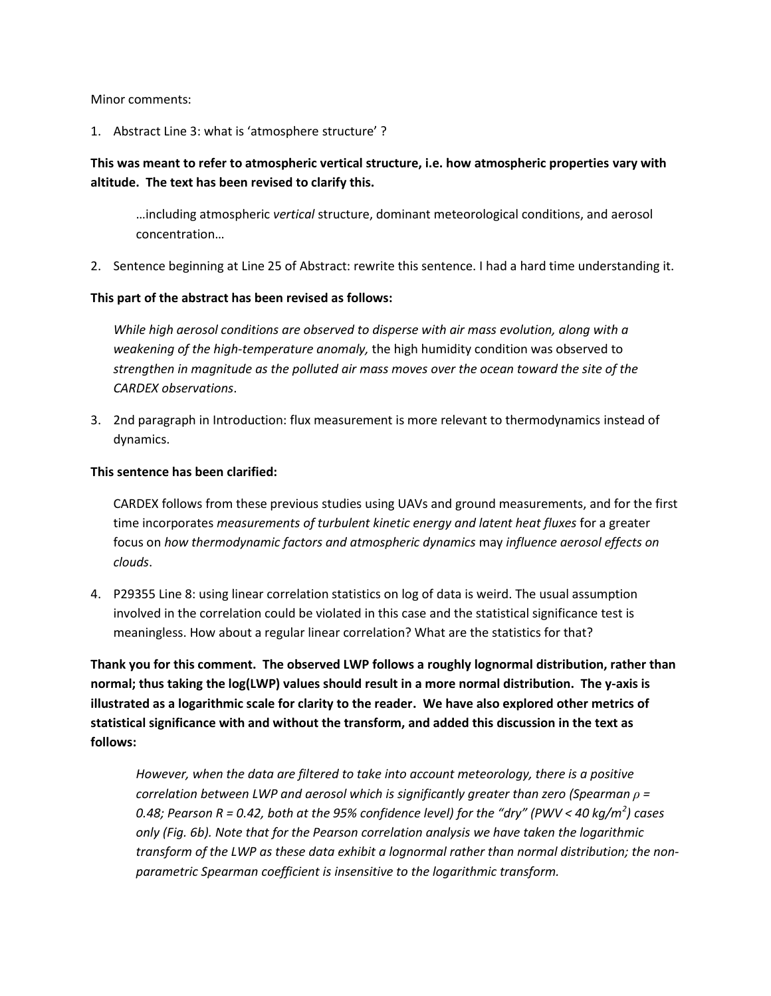#### Minor comments:

1. Abstract Line 3: what is 'atmosphere structure' ?

## **This was meant to refer to atmospheric vertical structure, i.e. how atmospheric properties vary with altitude. The text has been revised to clarify this.**

…including atmospheric *vertical* structure, dominant meteorological conditions, and aerosol concentration…

2. Sentence beginning at Line 25 of Abstract: rewrite this sentence. I had a hard time understanding it.

### **This part of the abstract has been revised as follows:**

*While high aerosol conditions are observed to disperse with air mass evolution, along with a weakening of the high-temperature anomaly,* the high humidity condition was observed to *strengthen in magnitude as the polluted air mass moves over the ocean toward the site of the CARDEX observations*.

3. 2nd paragraph in Introduction: flux measurement is more relevant to thermodynamics instead of dynamics.

### **This sentence has been clarified:**

CARDEX follows from these previous studies using UAVs and ground measurements, and for the first time incorporates *measurements of turbulent kinetic energy and latent heat fluxes* for a greater focus on *how thermodynamic factors and atmospheric dynamics* may *influence aerosol effects on clouds*.

4. P29355 Line 8: using linear correlation statistics on log of data is weird. The usual assumption involved in the correlation could be violated in this case and the statistical significance test is meaningless. How about a regular linear correlation? What are the statistics for that?

**Thank you for this comment. The observed LWP follows a roughly lognormal distribution, rather than normal; thus taking the log(LWP) values should result in a more normal distribution. The y-axis is illustrated as a logarithmic scale for clarity to the reader. We have also explored other metrics of statistical significance with and without the transform, and added this discussion in the text as follows:**

*However, when the data are filtered to take into account meteorology, there is a positive correlation between LWP and aerosol which is significantly greater than zero (Spearman ρ = 0.48; Pearson R = 0.42, both at the 95% confidence level) for the "dry" (PWV < 40 kg/m<sup>2</sup> ) cases only (Fig. 6b). Note that for the Pearson correlation analysis we have taken the logarithmic transform of the LWP as these data exhibit a lognormal rather than normal distribution; the nonparametric Spearman coefficient is insensitive to the logarithmic transform.*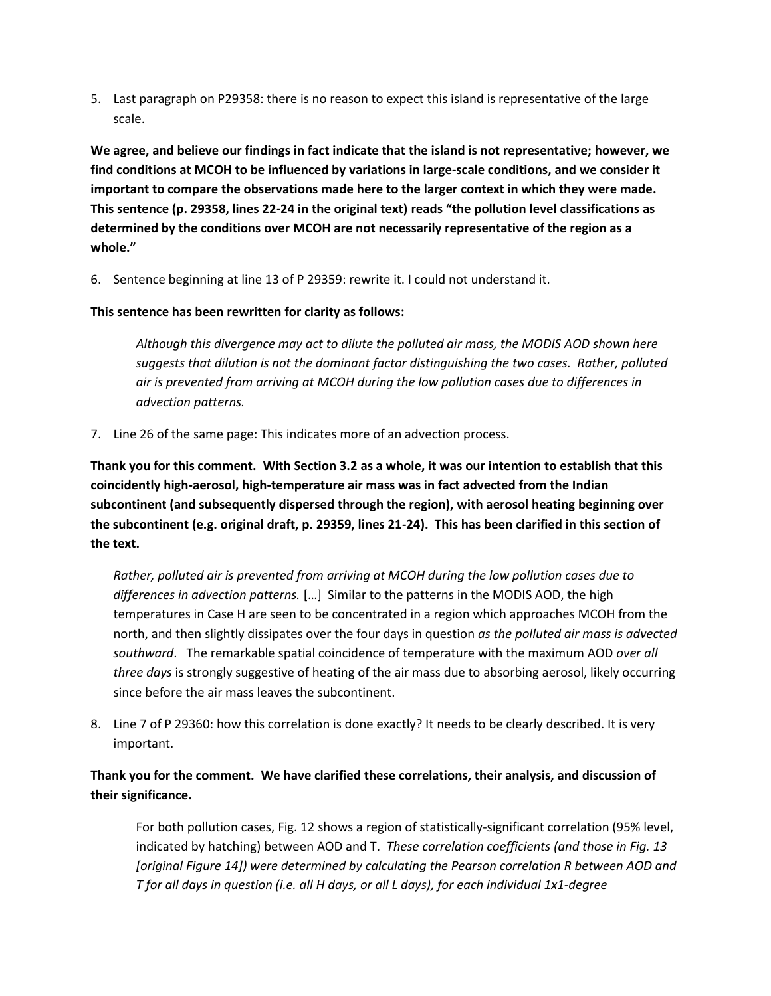5. Last paragraph on P29358: there is no reason to expect this island is representative of the large scale.

**We agree, and believe our findings in fact indicate that the island is not representative; however, we find conditions at MCOH to be influenced by variations in large-scale conditions, and we consider it important to compare the observations made here to the larger context in which they were made. This sentence (p. 29358, lines 22-24 in the original text) reads "the pollution level classifications as determined by the conditions over MCOH are not necessarily representative of the region as a whole."** 

6. Sentence beginning at line 13 of P 29359: rewrite it. I could not understand it.

**This sentence has been rewritten for clarity as follows:**

*Although this divergence may act to dilute the polluted air mass, the MODIS AOD shown here suggests that dilution is not the dominant factor distinguishing the two cases. Rather, polluted air is prevented from arriving at MCOH during the low pollution cases due to differences in advection patterns.*

7. Line 26 of the same page: This indicates more of an advection process.

**Thank you for this comment. With Section 3.2 as a whole, it was our intention to establish that this coincidently high-aerosol, high-temperature air mass was in fact advected from the Indian subcontinent (and subsequently dispersed through the region), with aerosol heating beginning over the subcontinent (e.g. original draft, p. 29359, lines 21-24). This has been clarified in this section of the text.**

*Rather, polluted air is prevented from arriving at MCOH during the low pollution cases due to differences in advection patterns.* […] Similar to the patterns in the MODIS AOD, the high temperatures in Case H are seen to be concentrated in a region which approaches MCOH from the north, and then slightly dissipates over the four days in question *as the polluted air mass is advected southward*. The remarkable spatial coincidence of temperature with the maximum AOD *over all three days* is strongly suggestive of heating of the air mass due to absorbing aerosol, likely occurring since before the air mass leaves the subcontinent.

8. Line 7 of P 29360: how this correlation is done exactly? It needs to be clearly described. It is very important.

**Thank you for the comment. We have clarified these correlations, their analysis, and discussion of their significance.**

For both pollution cases, Fig. 12 shows a region of statistically-significant correlation (95% level, indicated by hatching) between AOD and T. *These correlation coefficients (and those in Fig. 13 [original Figure 14]) were determined by calculating the Pearson correlation R between AOD and T for all days in question (i.e. all H days, or all L days), for each individual 1x1-degree*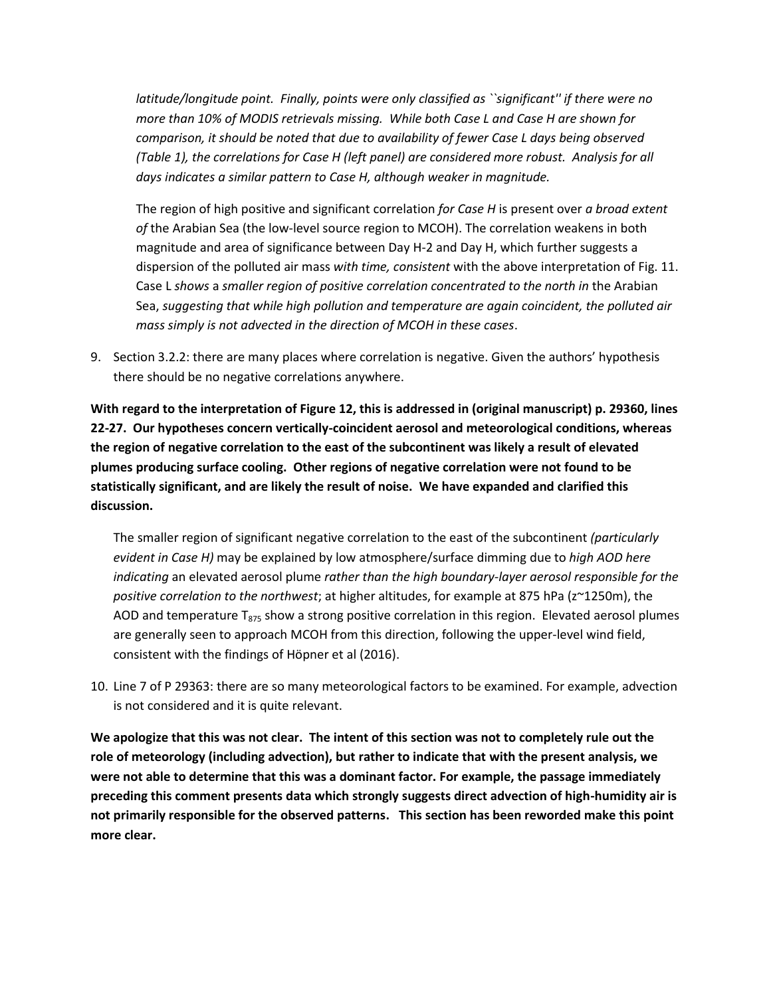*latitude/longitude point. Finally, points were only classified as ``significant'' if there were no more than 10% of MODIS retrievals missing. While both Case L and Case H are shown for comparison, it should be noted that due to availability of fewer Case L days being observed (Table 1), the correlations for Case H (left panel) are considered more robust. Analysis for all days indicates a similar pattern to Case H, although weaker in magnitude.*

The region of high positive and significant correlation *for Case H* is present over *a broad extent of* the Arabian Sea (the low-level source region to MCOH). The correlation weakens in both magnitude and area of significance between Day H-2 and Day H, which further suggests a dispersion of the polluted air mass *with time, consistent* with the above interpretation of Fig. 11. Case L *shows* a *smaller region of positive correlation concentrated to the north in* the Arabian Sea, *suggesting that while high pollution and temperature are again coincident, the polluted air mass simply is not advected in the direction of MCOH in these cases*.

9. Section 3.2.2: there are many places where correlation is negative. Given the authors' hypothesis there should be no negative correlations anywhere.

**With regard to the interpretation of Figure 12, this is addressed in (original manuscript) p. 29360, lines 22-27. Our hypotheses concern vertically-coincident aerosol and meteorological conditions, whereas the region of negative correlation to the east of the subcontinent was likely a result of elevated plumes producing surface cooling. Other regions of negative correlation were not found to be statistically significant, and are likely the result of noise. We have expanded and clarified this discussion.** 

The smaller region of significant negative correlation to the east of the subcontinent *(particularly evident in Case H)* may be explained by low atmosphere/surface dimming due to *high AOD here indicating* an elevated aerosol plume *rather than the high boundary-layer aerosol responsible for the positive correlation to the northwest*; at higher altitudes, for example at 875 hPa (z~1250m), the AOD and temperature  $T_{875}$  show a strong positive correlation in this region. Elevated aerosol plumes are generally seen to approach MCOH from this direction, following the upper-level wind field, consistent with the findings of Höpner et al (2016).

10. Line 7 of P 29363: there are so many meteorological factors to be examined. For example, advection is not considered and it is quite relevant.

**We apologize that this was not clear. The intent of this section was not to completely rule out the role of meteorology (including advection), but rather to indicate that with the present analysis, we were not able to determine that this was a dominant factor. For example, the passage immediately preceding this comment presents data which strongly suggests direct advection of high-humidity air is not primarily responsible for the observed patterns. This section has been reworded make this point more clear.**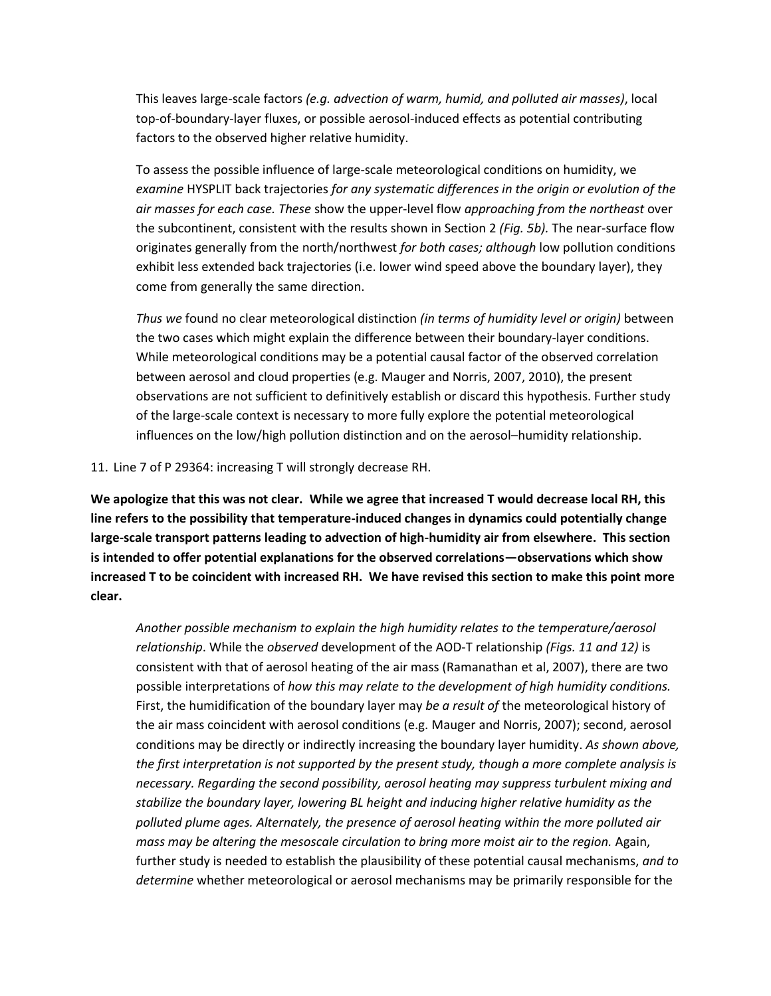This leaves large-scale factors *(e.g. advection of warm, humid, and polluted air masses)*, local top-of-boundary-layer fluxes, or possible aerosol-induced effects as potential contributing factors to the observed higher relative humidity.

To assess the possible influence of large-scale meteorological conditions on humidity, we *examine* HYSPLIT back trajectories *for any systematic differences in the origin or evolution of the air masses for each case. These* show the upper-level flow *approaching from the northeast* over the subcontinent, consistent with the results shown in Section 2 *(Fig. 5b).* The near-surface flow originates generally from the north/northwest *for both cases; although* low pollution conditions exhibit less extended back trajectories (i.e. lower wind speed above the boundary layer), they come from generally the same direction.

*Thus we* found no clear meteorological distinction *(in terms of humidity level or origin)* between the two cases which might explain the difference between their boundary-layer conditions. While meteorological conditions may be a potential causal factor of the observed correlation between aerosol and cloud properties (e.g. Mauger and Norris, 2007, 2010), the present observations are not sufficient to definitively establish or discard this hypothesis. Further study of the large-scale context is necessary to more fully explore the potential meteorological influences on the low/high pollution distinction and on the aerosol–humidity relationship.

11. Line 7 of P 29364: increasing T will strongly decrease RH.

**We apologize that this was not clear. While we agree that increased T would decrease local RH, this line refers to the possibility that temperature-induced changes in dynamics could potentially change large-scale transport patterns leading to advection of high-humidity air from elsewhere. This section is intended to offer potential explanations for the observed correlations—observations which show increased T to be coincident with increased RH. We have revised this section to make this point more clear.** 

*Another possible mechanism to explain the high humidity relates to the temperature/aerosol relationship*. While the *observed* development of the AOD-T relationship *(Figs. 11 and 12)* is consistent with that of aerosol heating of the air mass (Ramanathan et al, 2007), there are two possible interpretations of *how this may relate to the development of high humidity conditions.* First, the humidification of the boundary layer may *be a result of* the meteorological history of the air mass coincident with aerosol conditions (e.g. Mauger and Norris, 2007); second, aerosol conditions may be directly or indirectly increasing the boundary layer humidity. *As shown above, the first interpretation is not supported by the present study, though a more complete analysis is necessary. Regarding the second possibility, aerosol heating may suppress turbulent mixing and stabilize the boundary layer, lowering BL height and inducing higher relative humidity as the polluted plume ages. Alternately, the presence of aerosol heating within the more polluted air mass may be altering the mesoscale circulation to bring more moist air to the region.* Again, further study is needed to establish the plausibility of these potential causal mechanisms, *and to determine* whether meteorological or aerosol mechanisms may be primarily responsible for the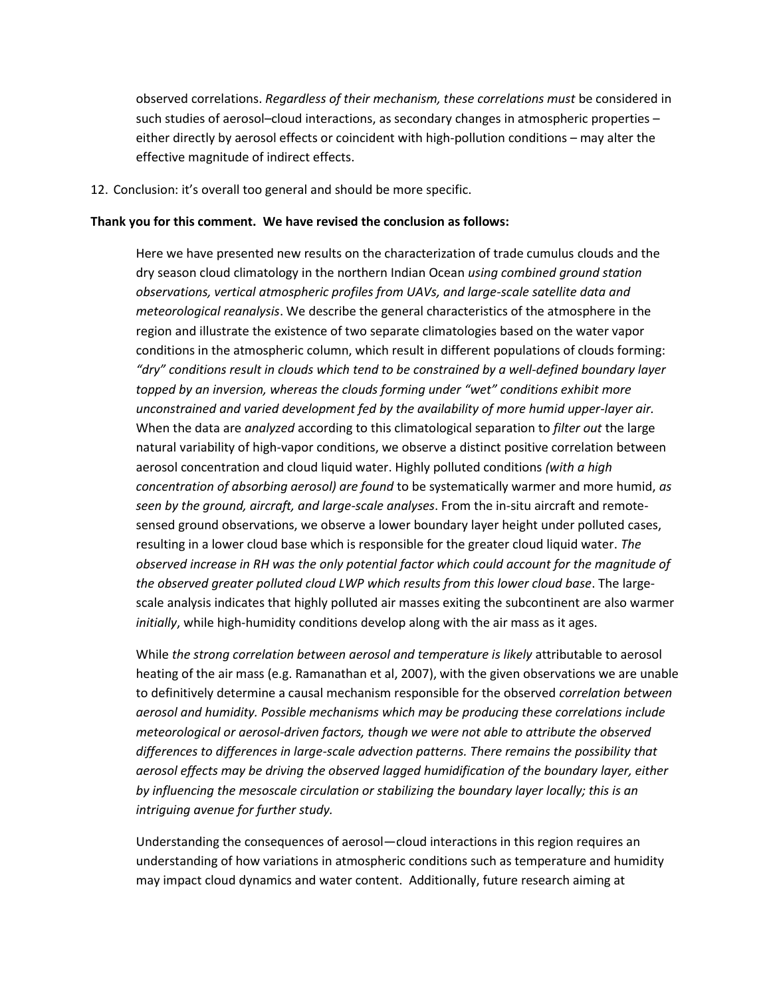observed correlations. *Regardless of their mechanism, these correlations must* be considered in such studies of aerosol–cloud interactions, as secondary changes in atmospheric properties – either directly by aerosol effects or coincident with high-pollution conditions – may alter the effective magnitude of indirect effects.

12. Conclusion: it's overall too general and should be more specific.

#### **Thank you for this comment. We have revised the conclusion as follows:**

Here we have presented new results on the characterization of trade cumulus clouds and the dry season cloud climatology in the northern Indian Ocean *using combined ground station observations, vertical atmospheric profiles from UAVs, and large-scale satellite data and meteorological reanalysis*. We describe the general characteristics of the atmosphere in the region and illustrate the existence of two separate climatologies based on the water vapor conditions in the atmospheric column, which result in different populations of clouds forming: *"dry" conditions result in clouds which tend to be constrained by a well-defined boundary layer topped by an inversion, whereas the clouds forming under "wet" conditions exhibit more unconstrained and varied development fed by the availability of more humid upper-layer air.* When the data are *analyzed* according to this climatological separation to *filter out* the large natural variability of high-vapor conditions, we observe a distinct positive correlation between aerosol concentration and cloud liquid water. Highly polluted conditions *(with a high concentration of absorbing aerosol) are found* to be systematically warmer and more humid, *as seen by the ground, aircraft, and large-scale analyses*. From the in-situ aircraft and remotesensed ground observations, we observe a lower boundary layer height under polluted cases, resulting in a lower cloud base which is responsible for the greater cloud liquid water. *The observed increase in RH was the only potential factor which could account for the magnitude of the observed greater polluted cloud LWP which results from this lower cloud base*. The largescale analysis indicates that highly polluted air masses exiting the subcontinent are also warmer *initially*, while high-humidity conditions develop along with the air mass as it ages.

While *the strong correlation between aerosol and temperature is likely* attributable to aerosol heating of the air mass (e.g. Ramanathan et al, 2007), with the given observations we are unable to definitively determine a causal mechanism responsible for the observed *correlation between aerosol and humidity. Possible mechanisms which may be producing these correlations include meteorological or aerosol-driven factors, though we were not able to attribute the observed differences to differences in large-scale advection patterns. There remains the possibility that aerosol effects may be driving the observed lagged humidification of the boundary layer, either by influencing the mesoscale circulation or stabilizing the boundary layer locally; this is an intriguing avenue for further study.*

Understanding the consequences of aerosol—cloud interactions in this region requires an understanding of how variations in atmospheric conditions such as temperature and humidity may impact cloud dynamics and water content. Additionally, future research aiming at